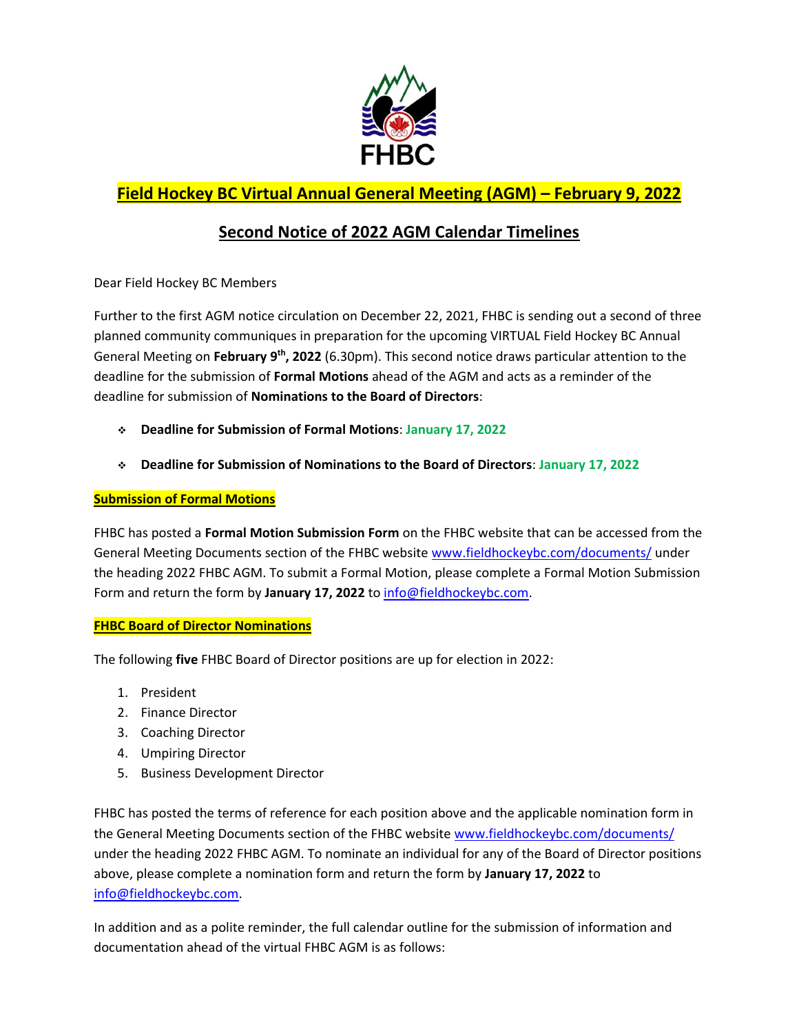

## **Field Hockey BC Virtual Annual General Meeting (AGM) – February 9, 2022**

## **Second Notice of 2022 AGM Calendar Timelines**

Dear Field Hockey BC Members

Further to the first AGM notice circulation on December 22, 2021, FHBC is sending out a second of three planned community communiques in preparation for the upcoming VIRTUAL Field Hockey BC Annual General Meeting on **February 9 th, 2022** (6.30pm). This second notice draws particular attention to the deadline for the submission of **Formal Motions** ahead of the AGM and acts as a reminder of the deadline for submission of **Nominations to the Board of Directors**:

- **Deadline for Submission of Formal Motions**: **January 17, 2022**
- **Deadline for Submission of Nominations to the Board of Directors**: **January 17, 2022**

## **Submission of Formal Motions**

FHBC has posted a **Formal Motion Submission Form** on the FHBC website that can be accessed from the General Meeting Documents section of the FHBC website [www.fieldhockeybc.com/documents/](http://www.fieldhockeybc.com/documents/) under the heading 2022 FHBC AGM. To submit a Formal Motion, please complete a Formal Motion Submission Form and return the form by January 17, 2022 to [info@fieldhockeybc.com.](mailto:info@fieldhockeybc.com)

## **FHBC Board of Director Nominations**

The following **five** FHBC Board of Director positions are up for election in 2022:

- 1. President
- 2. Finance Director
- 3. Coaching Director
- 4. Umpiring Director
- 5. Business Development Director

FHBC has posted the terms of reference for each position above and the applicable nomination form in the General Meeting Documents section of the FHBC website [www.fieldhockeybc.com/documents/](http://www.fieldhockeybc.com/documents/) under the heading 2022 FHBC AGM. To nominate an individual for any of the Board of Director positions above, please complete a nomination form and return the form by **January 17, 2022** to [info@fieldhockeybc.com.](mailto:info@fieldhockeybc.com)

In addition and as a polite reminder, the full calendar outline for the submission of information and documentation ahead of the virtual FHBC AGM is as follows: